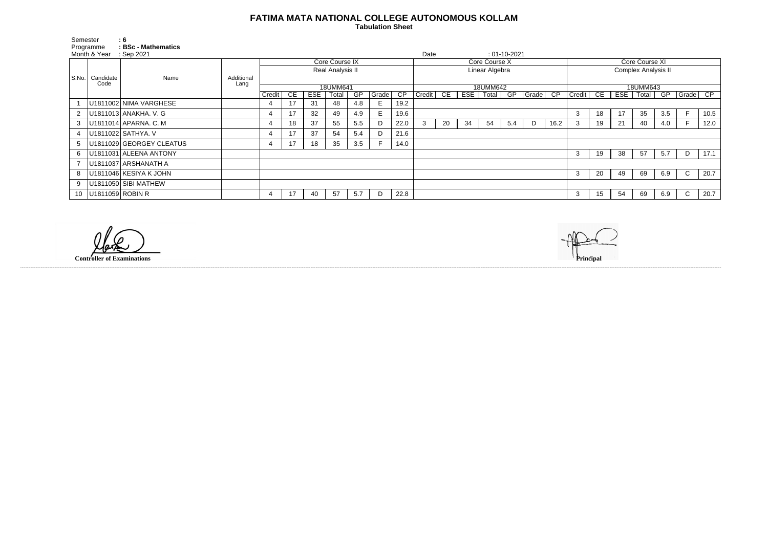## **FATIMA MATA NATIONAL COLLEGE AUTONOMOUS KOLLAM**

 **Tabulation Sheet** 

| Semester<br>Programme |                           | $\mathbf{.6}$<br>: BSc - Mathematics            |                    |                  |           |            |       |     |       |                |               |    |     |       |     |       |                     |                |                 |     |       |     |              |      |
|-----------------------|---------------------------|-------------------------------------------------|--------------------|------------------|-----------|------------|-------|-----|-------|----------------|---------------|----|-----|-------|-----|-------|---------------------|----------------|-----------------|-----|-------|-----|--------------|------|
| Month & Year          |                           | $\therefore$ Sep 2021<br>Date<br>$: 01-10-2021$ |                    |                  |           |            |       |     |       |                |               |    |     |       |     |       |                     |                |                 |     |       |     |              |      |
|                       | S.No.   Candidate<br>Code | Name                                            | Additional<br>Lang | Core Course IX   |           |            |       |     |       |                | Core Course X |    |     |       |     |       |                     | Core Course XI |                 |     |       |     |              |      |
|                       |                           |                                                 |                    | Real Analysis II |           |            |       |     |       | Linear Algebra |               |    |     |       |     |       | Complex Analysis II |                |                 |     |       |     |              |      |
|                       |                           |                                                 |                    |                  |           |            |       |     |       |                |               |    |     |       |     |       |                     |                |                 |     |       |     |              |      |
|                       |                           |                                                 |                    | 18UMM641         |           |            |       |     |       |                | 18UMM642      |    |     |       |     |       |                     | 18UMM643       |                 |     |       |     |              |      |
|                       |                           |                                                 |                    | Credit           | <b>CE</b> | <b>ESE</b> | Total | GP  | Grade | CP             | Credit        | CE | ESE | Total | GP  | Grade | CP                  | Credit         | CE              | ESE | Total | GP  | Grade        | CP   |
|                       |                           | U1811002 NIMA VARGHESE                          |                    |                  |           | 31         | 48    | 4.8 | E     | 19.2           |               |    |     |       |     |       |                     |                |                 |     |       |     |              |      |
|                       |                           | 2   U1811013   ANAKHA. V. G                     |                    |                  | 17        | 32         | 49    | 4.9 | E.    | 19.6           |               |    |     |       |     |       |                     | 3              | 18              | 17  | 35    | 3.5 |              | 10.5 |
| 3                     |                           | U1811014 APARNA. C. M                           |                    |                  | 18        | 37         | 55    | 5.5 | D     | 22.0           | 3             | 20 | 34  | 54    | 5.4 | D     | 16.2                | 3              | 19              | 21  | 40    | 4.0 |              | 12.0 |
|                       |                           | 4   U1811022   SATHYA. V                        |                    |                  | 17        | 37         | 54    | 5.4 | D     | 21.6           |               |    |     |       |     |       |                     |                |                 |     |       |     |              |      |
|                       |                           | 5   U1811029 GEORGEY CLEATUS                    |                    | 4                | 17        | 18         | 35    | 3.5 |       | 14.0           |               |    |     |       |     |       |                     |                |                 |     |       |     |              |      |
|                       |                           | 6   U1811031   ALEENA ANTONY                    |                    |                  |           |            |       |     |       |                |               |    |     |       |     |       |                     | 3              | 19              | 38  | 57    | 5.7 | D            | 17.1 |
|                       |                           | U1811037 ARSHANATH A                            |                    |                  |           |            |       |     |       |                |               |    |     |       |     |       |                     |                |                 |     |       |     |              |      |
|                       |                           | 8   U1811046   KESIYA K JOHN                    |                    |                  |           |            |       |     |       |                |               |    |     |       |     |       |                     | 3              | 20              | 49  | 69    | 6.9 | $\mathsf{C}$ | 20.7 |
|                       |                           | 9   U1811050   SIBI MATHEW                      |                    |                  |           |            |       |     |       |                |               |    |     |       |     |       |                     |                |                 |     |       |     |              |      |
|                       | 10   U1811059   ROBIN R   |                                                 |                    | 4                | 17        | 40         | 57    | 5.7 | D     | 22.8           |               |    |     |       |     |       |                     | 3              | 15 <sub>1</sub> | 54  | 69    | 6.9 | $\mathsf{C}$ | 20.7 |

------------------------------------------------------------------------------------------------------------------------------------------------------------------------------------------------------------------------------------------------------------------------------------------------------------------------------------------------------------------------------------------------------------------------

**Controller of Examinations**